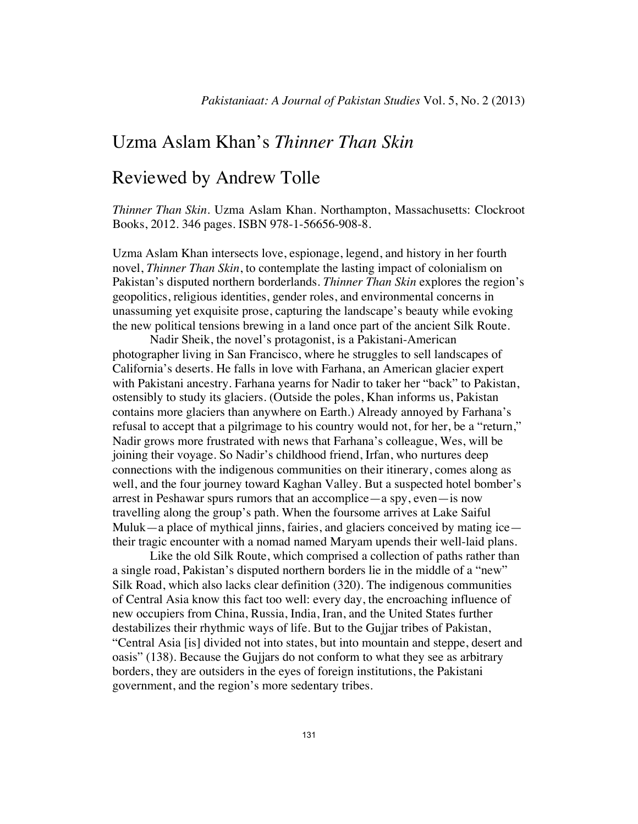## Uzma Aslam Khan's *Thinner Than Skin*

## Reviewed by Andrew Tolle

*Thinner Than Skin*. Uzma Aslam Khan. Northampton, Massachusetts: Clockroot Books, 2012. 346 pages. ISBN 978-1-56656-908-8.

Uzma Aslam Khan intersects love, espionage, legend, and history in her fourth novel, *Thinner Than Skin*, to contemplate the lasting impact of colonialism on Pakistan's disputed northern borderlands. *Thinner Than Skin* explores the region's geopolitics, religious identities, gender roles, and environmental concerns in unassuming yet exquisite prose, capturing the landscape's beauty while evoking the new political tensions brewing in a land once part of the ancient Silk Route.

Nadir Sheik, the novel's protagonist, is a Pakistani-American photographer living in San Francisco, where he struggles to sell landscapes of California's deserts. He falls in love with Farhana, an American glacier expert with Pakistani ancestry. Farhana yearns for Nadir to taker her "back" to Pakistan, ostensibly to study its glaciers. (Outside the poles, Khan informs us, Pakistan contains more glaciers than anywhere on Earth.) Already annoyed by Farhana's refusal to accept that a pilgrimage to his country would not, for her, be a "return," Nadir grows more frustrated with news that Farhana's colleague, Wes, will be joining their voyage. So Nadir's childhood friend, Irfan, who nurtures deep connections with the indigenous communities on their itinerary, comes along as well, and the four journey toward Kaghan Valley. But a suspected hotel bomber's arrest in Peshawar spurs rumors that an accomplice—a spy, even—is now travelling along the group's path. When the foursome arrives at Lake Saiful Muluk—a place of mythical jinns, fairies, and glaciers conceived by mating ice their tragic encounter with a nomad named Maryam upends their well-laid plans.

Like the old Silk Route, which comprised a collection of paths rather than a single road, Pakistan's disputed northern borders lie in the middle of a "new" Silk Road, which also lacks clear definition (320). The indigenous communities of Central Asia know this fact too well: every day, the encroaching influence of new occupiers from China, Russia, India, Iran, and the United States further destabilizes their rhythmic ways of life. But to the Gujjar tribes of Pakistan, "Central Asia [is] divided not into states, but into mountain and steppe, desert and oasis" (138). Because the Gujjars do not conform to what they see as arbitrary borders, they are outsiders in the eyes of foreign institutions, the Pakistani government, and the region's more sedentary tribes.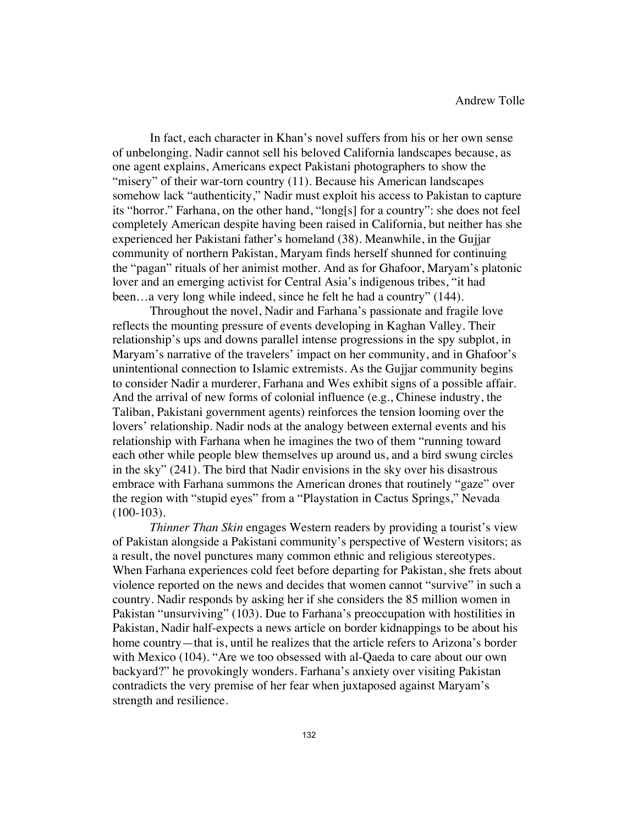In fact, each character in Khan's novel suffers from his or her own sense of unbelonging. Nadir cannot sell his beloved California landscapes because, as one agent explains, Americans expect Pakistani photographers to show the "misery" of their war-torn country (11). Because his American landscapes somehow lack "authenticity," Nadir must exploit his access to Pakistan to capture its "horror." Farhana, on the other hand, "long[s] for a country": she does not feel completely American despite having been raised in California, but neither has she experienced her Pakistani father's homeland (38). Meanwhile, in the Gujjar community of northern Pakistan, Maryam finds herself shunned for continuing the "pagan" rituals of her animist mother. And as for Ghafoor, Maryam's platonic lover and an emerging activist for Central Asia's indigenous tribes, "it had been…a very long while indeed, since he felt he had a country" (144).

Throughout the novel, Nadir and Farhana's passionate and fragile love reflects the mounting pressure of events developing in Kaghan Valley. Their relationship's ups and downs parallel intense progressions in the spy subplot, in Maryam's narrative of the travelers' impact on her community, and in Ghafoor's unintentional connection to Islamic extremists. As the Gujjar community begins to consider Nadir a murderer, Farhana and Wes exhibit signs of a possible affair. And the arrival of new forms of colonial influence (e.g., Chinese industry, the Taliban, Pakistani government agents) reinforces the tension looming over the lovers' relationship. Nadir nods at the analogy between external events and his relationship with Farhana when he imagines the two of them "running toward each other while people blew themselves up around us, and a bird swung circles in the sky" (241). The bird that Nadir envisions in the sky over his disastrous embrace with Farhana summons the American drones that routinely "gaze" over the region with "stupid eyes" from a "Playstation in Cactus Springs," Nevada (100-103).

*Thinner Than Skin* engages Western readers by providing a tourist's view of Pakistan alongside a Pakistani community's perspective of Western visitors; as a result, the novel punctures many common ethnic and religious stereotypes. When Farhana experiences cold feet before departing for Pakistan, she frets about violence reported on the news and decides that women cannot "survive" in such a country. Nadir responds by asking her if she considers the 85 million women in Pakistan "unsurviving" (103). Due to Farhana's preoccupation with hostilities in Pakistan, Nadir half-expects a news article on border kidnappings to be about his home country—that is, until he realizes that the article refers to Arizona's border with Mexico (104). "Are we too obsessed with al-Qaeda to care about our own backyard?" he provokingly wonders. Farhana's anxiety over visiting Pakistan contradicts the very premise of her fear when juxtaposed against Maryam's strength and resilience.